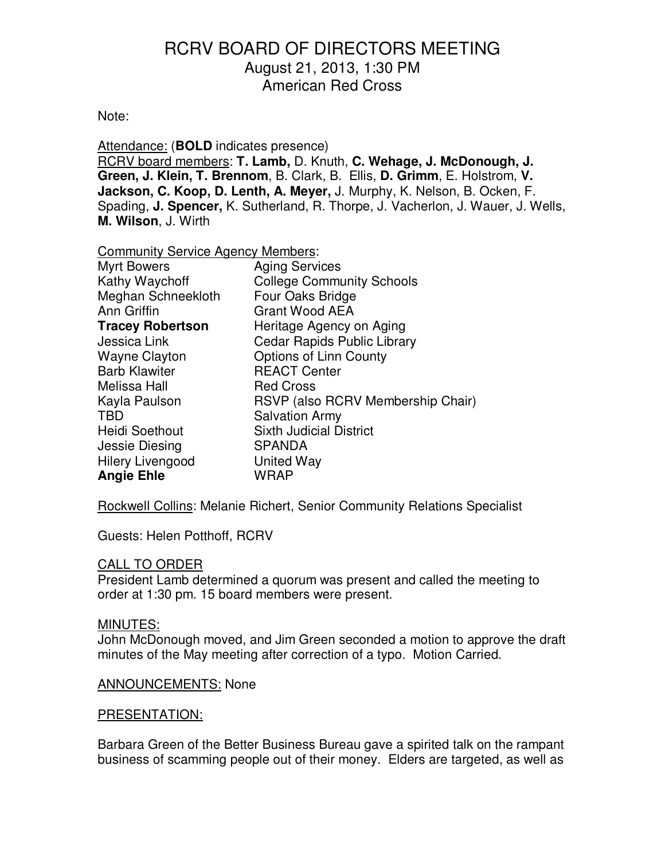## Note:

Attendance: (**BOLD** indicates presence) RCRV board members: **T. Lamb,** D. Knuth, **C. Wehage, J. McDonough, J. Green, J. Klein, T. Brennom**, B. Clark, B. Ellis, **D. Grimm**, E. Holstrom, **V. Jackson, C. Koop, D. Lenth, A. Meyer,** J. Murphy, K. Nelson, B. Ocken, F. Spading, **J. Spencer,** K. Sutherland, R. Thorpe, J. Vacherlon, J. Wauer, J. Wells, **M. Wilson**, J. Wirth

#### Community Service Agency Members:

| <b>Myrt Bowers</b>      | <b>Aging Services</b>              |  |
|-------------------------|------------------------------------|--|
| Kathy Waychoff          | <b>College Community Schools</b>   |  |
| Meghan Schneekloth      | Four Oaks Bridge                   |  |
| Ann Griffin             | <b>Grant Wood AEA</b>              |  |
| <b>Tracey Robertson</b> | Heritage Agency on Aging           |  |
| Jessica Link            | <b>Cedar Rapids Public Library</b> |  |
| <b>Wayne Clayton</b>    | Options of Linn County             |  |
| <b>Barb Klawiter</b>    | <b>REACT Center</b>                |  |
| Melissa Hall            | <b>Red Cross</b>                   |  |
| Kayla Paulson           | RSVP (also RCRV Membership Chair)  |  |
| <b>TBD</b>              | <b>Salvation Army</b>              |  |
| <b>Heidi Soethout</b>   | <b>Sixth Judicial District</b>     |  |
| Jessie Diesing          | <b>SPANDA</b>                      |  |
| Hilery Livengood        | United Way                         |  |
| <b>Angie Ehle</b>       | WRAP                               |  |

Rockwell Collins: Melanie Richert, Senior Community Relations Specialist

Guests: Helen Potthoff, RCRV

## CALL TO ORDER

President Lamb determined a quorum was present and called the meeting to order at 1:30 pm. 15 board members were present.

## MINUTES:

John McDonough moved, and Jim Green seconded a motion to approve the draft minutes of the May meeting after correction of a typo. Motion Carried.

## ANNOUNCEMENTS: None

#### PRESENTATION:

Barbara Green of the Better Business Bureau gave a spirited talk on the rampant business of scamming people out of their money. Elders are targeted, as well as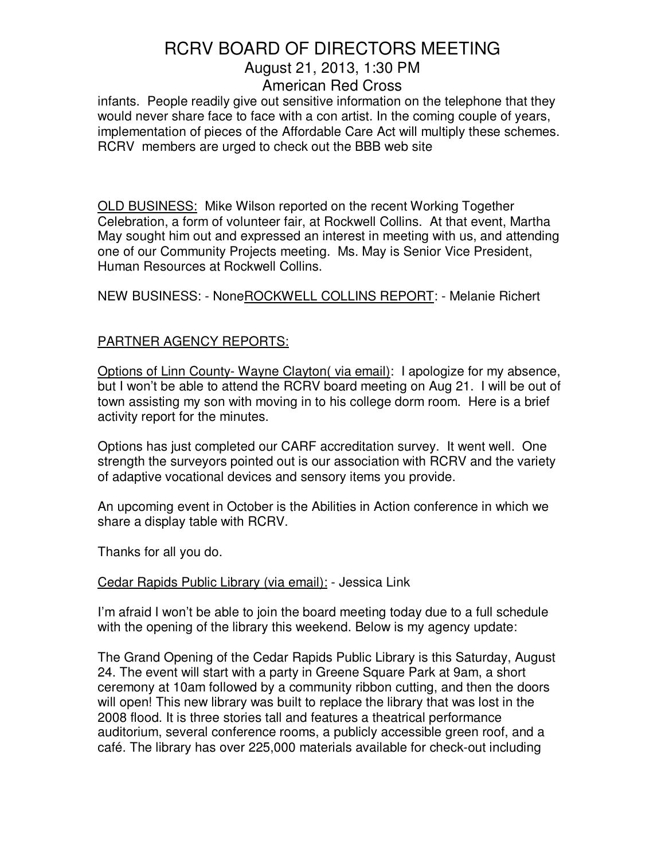infants. People readily give out sensitive information on the telephone that they would never share face to face with a con artist. In the coming couple of years, implementation of pieces of the Affordable Care Act will multiply these schemes. RCRV members are urged to check out the BBB web site

OLD BUSINESS: Mike Wilson reported on the recent Working Together Celebration, a form of volunteer fair, at Rockwell Collins. At that event, Martha May sought him out and expressed an interest in meeting with us, and attending one of our Community Projects meeting. Ms. May is Senior Vice President, Human Resources at Rockwell Collins.

NEW BUSINESS: - NoneROCKWELL COLLINS REPORT: - Melanie Richert

## PARTNER AGENCY REPORTS:

Options of Linn County- Wayne Clayton( via email): I apologize for my absence, but I won't be able to attend the RCRV board meeting on Aug 21. I will be out of town assisting my son with moving in to his college dorm room. Here is a brief activity report for the minutes.

Options has just completed our CARF accreditation survey. It went well. One strength the surveyors pointed out is our association with RCRV and the variety of adaptive vocational devices and sensory items you provide.

An upcoming event in October is the Abilities in Action conference in which we share a display table with RCRV.

Thanks for all you do.

## Cedar Rapids Public Library (via email): - Jessica Link

I'm afraid I won't be able to join the board meeting today due to a full schedule with the opening of the library this weekend. Below is my agency update:

The Grand Opening of the Cedar Rapids Public Library is this Saturday, August 24. The event will start with a party in Greene Square Park at 9am, a short ceremony at 10am followed by a community ribbon cutting, and then the doors will open! This new library was built to replace the library that was lost in the 2008 flood. It is three stories tall and features a theatrical performance auditorium, several conference rooms, a publicly accessible green roof, and a café. The library has over 225,000 materials available for check-out including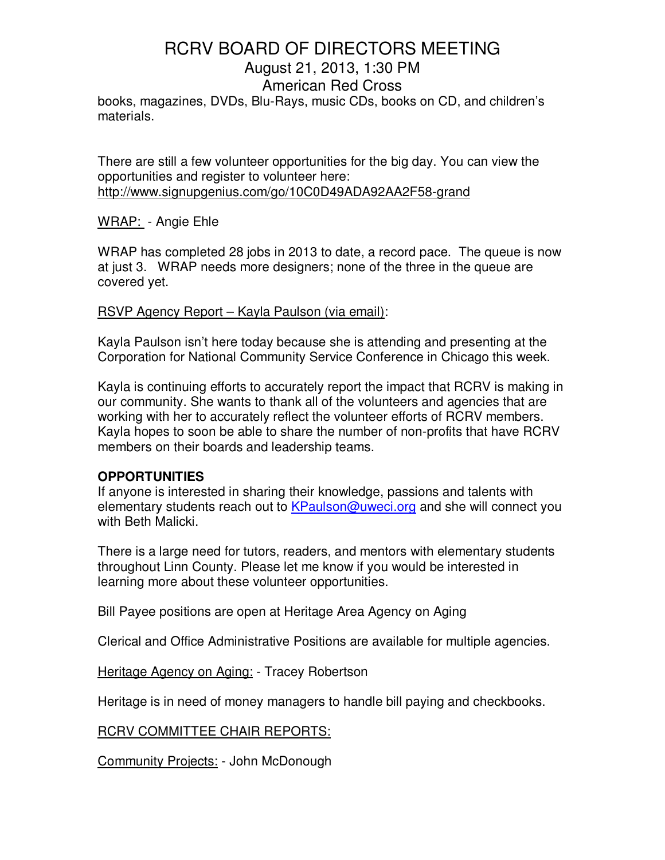books, magazines, DVDs, Blu-Rays, music CDs, books on CD, and children's materials.

There are still a few volunteer opportunities for the big day. You can view the opportunities and register to volunteer here: http://www.signupgenius.com/go/10C0D49ADA92AA2F58-grand

WRAP: - Angie Ehle

WRAP has completed 28 jobs in 2013 to date, a record pace. The queue is now at just 3. WRAP needs more designers; none of the three in the queue are covered yet.

## RSVP Agency Report – Kayla Paulson (via email):

Kayla Paulson isn't here today because she is attending and presenting at the Corporation for National Community Service Conference in Chicago this week.

Kayla is continuing efforts to accurately report the impact that RCRV is making in our community. She wants to thank all of the volunteers and agencies that are working with her to accurately reflect the volunteer efforts of RCRV members. Kayla hopes to soon be able to share the number of non-profits that have RCRV members on their boards and leadership teams.

## **OPPORTUNITIES**

If anyone is interested in sharing their knowledge, passions and talents with elementary students reach out to KPaulson@uweci.org and she will connect you with Beth Malicki.

There is a large need for tutors, readers, and mentors with elementary students throughout Linn County. Please let me know if you would be interested in learning more about these volunteer opportunities.

Bill Payee positions are open at Heritage Area Agency on Aging

Clerical and Office Administrative Positions are available for multiple agencies.

Heritage Agency on Aging: - Tracey Robertson

Heritage is in need of money managers to handle bill paying and checkbooks.

RCRV COMMITTEE CHAIR REPORTS:

Community Projects: - John McDonough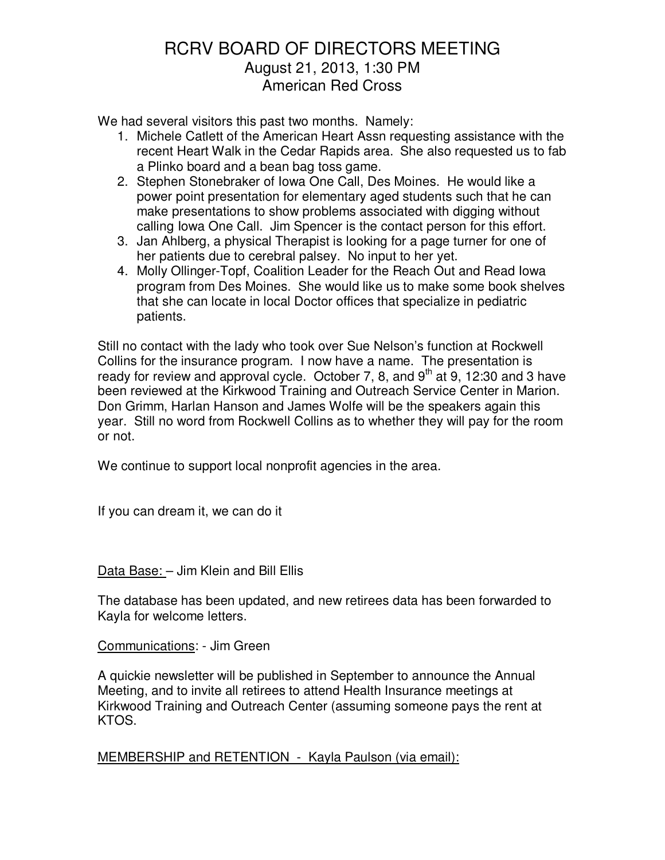We had several visitors this past two months. Namely:

- 1. Michele Catlett of the American Heart Assn requesting assistance with the recent Heart Walk in the Cedar Rapids area. She also requested us to fab a Plinko board and a bean bag toss game.
- 2. Stephen Stonebraker of Iowa One Call, Des Moines. He would like a power point presentation for elementary aged students such that he can make presentations to show problems associated with digging without calling Iowa One Call. Jim Spencer is the contact person for this effort.
- 3. Jan Ahlberg, a physical Therapist is looking for a page turner for one of her patients due to cerebral palsey. No input to her yet.
- 4. Molly Ollinger-Topf, Coalition Leader for the Reach Out and Read Iowa program from Des Moines. She would like us to make some book shelves that she can locate in local Doctor offices that specialize in pediatric patients.

Still no contact with the lady who took over Sue Nelson's function at Rockwell Collins for the insurance program. I now have a name. The presentation is ready for review and approval cycle. October 7, 8, and  $9<sup>th</sup>$  at 9, 12:30 and 3 have been reviewed at the Kirkwood Training and Outreach Service Center in Marion. Don Grimm, Harlan Hanson and James Wolfe will be the speakers again this year. Still no word from Rockwell Collins as to whether they will pay for the room or not.

We continue to support local nonprofit agencies in the area.

If you can dream it, we can do it

Data Base: – Jim Klein and Bill Ellis

The database has been updated, and new retirees data has been forwarded to Kayla for welcome letters.

Communications: - Jim Green

A quickie newsletter will be published in September to announce the Annual Meeting, and to invite all retirees to attend Health Insurance meetings at Kirkwood Training and Outreach Center (assuming someone pays the rent at KTOS.

MEMBERSHIP and RETENTION - Kayla Paulson (via email):